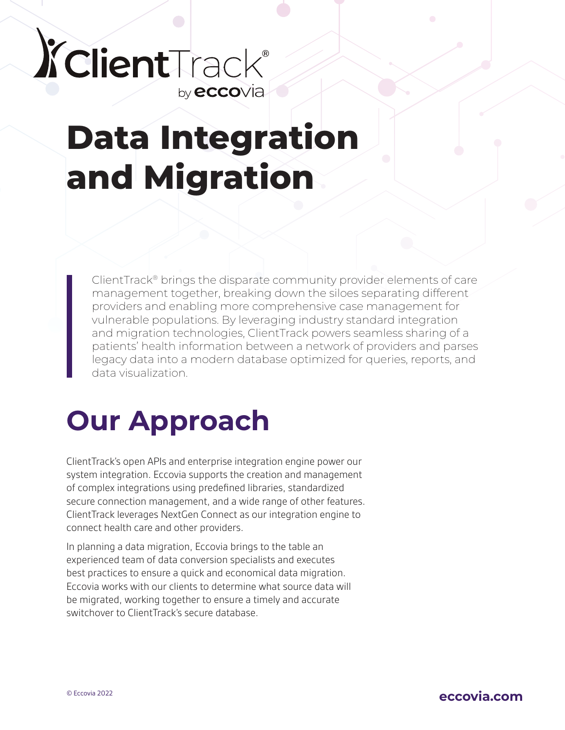### *XclientTrack®* by **ecco**via

# **Data Integration and Migration**

ClientTrack® brings the disparate community provider elements of care management together, breaking down the siloes separating different providers and enabling more comprehensive case management for vulnerable populations. By leveraging industry standard integration and migration technologies, ClientTrack powers seamless sharing of a patients' health information between a network of providers and parses legacy data into a modern database optimized for queries, reports, and data visualization.

## **Our Approach**

ClientTrack's open APIs and enterprise integration engine power our system integration. Eccovia supports the creation and management of complex integrations using predefined libraries, standardized secure connection management, and a wide range of other features. ClientTrack leverages NextGen Connect as our integration engine to connect health care and other providers.

In planning a data migration, Eccovia brings to the table an experienced team of data conversion specialists and executes best practices to ensure a quick and economical data migration. Eccovia works with our clients to determine what source data will be migrated, working together to ensure a timely and accurate switchover to ClientTrack's secure database.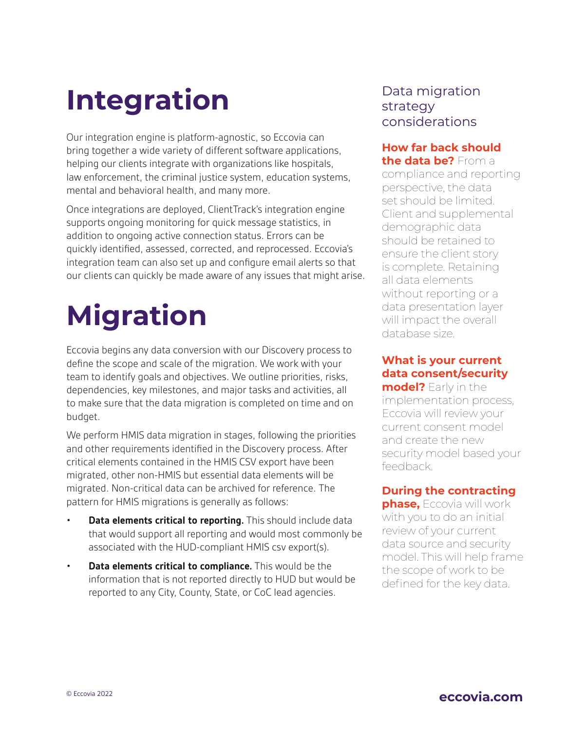## **Integration**

Our integration engine is platform-agnostic, so Eccovia can bring together a wide variety of different software applications, helping our clients integrate with organizations like hospitals, law enforcement, the criminal justice system, education systems, mental and behavioral health, and many more.

Once integrations are deployed, ClientTrack's integration engine supports ongoing monitoring for quick message statistics, in addition to ongoing active connection status. Errors can be quickly identified, assessed, corrected, and reprocessed. Eccovia's integration team can also set up and configure email alerts so that our clients can quickly be made aware of any issues that might arise.

# **Migration**

Eccovia begins any data conversion with our Discovery process to define the scope and scale of the migration. We work with your team to identify goals and objectives. We outline priorities, risks, dependencies, key milestones, and major tasks and activities, all to make sure that the data migration is completed on time and on budget.

We perform HMIS data migration in stages, following the priorities and other requirements identified in the Discovery process. After critical elements contained in the HMIS CSV export have been migrated, other non-HMIS but essential data elements will be migrated. Non-critical data can be archived for reference. The pattern for HMIS migrations is generally as follows:

- **Data elements critical to reporting.** This should include data that would support all reporting and would most commonly be associated with the HUD-compliant HMIS csv export(s).
- **Data elements critical to compliance.** This would be the information that is not reported directly to HUD but would be reported to any City, County, State, or CoC lead agencies.

### Data migration strategy considerations

#### **How far back should the data be?** From a

compliance and reporting perspective, the data set should be limited. Client and supplemental demographic data should be retained to ensure the client story is complete. Retaining all data elements without reporting or a data presentation layer will impact the overall database size.

#### **What is your current data consent/security**

**model?** Early in the implementation process, Eccovia will review your current consent model and create the new security model based your feedback.

#### **During the contracting**

**phase,** Eccovia will work with you to do an initial review of your current data source and security model. This will help frame the scope of work to be defined for the key data.

### © Eccovia 2022 **eccovia.com**